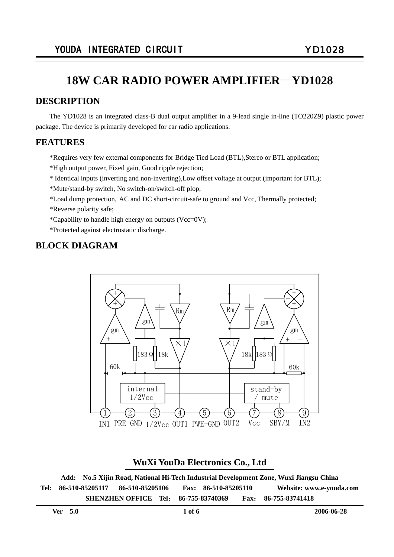### **DESCRIPTION**

The YD1028 is an integrated class-B dual output amplifier in a 9-lead single in-line (TO220Z9) plastic power package. The device is primarily developed for car radio applications.

### **FEATURES**

٦

\*Requires very few external components for Bridge Tied Load (BTL),Stereo or BTL application;

- \*High output power, Fixed gain, Good ripple rejection;
- \* Identical inputs (inverting and non-inverting),Low offset voltage at output (important for BTL);
- \*Mute/stand-by switch, No switch-on/switch-off plop;
- \*Load dump protection, AC and DC short-circuit-safe to ground and Vcc, Thermally protected;
- \*Reverse polarity safe;
- \*Capability to handle high energy on outputs (Vcc=0V);
- \*Protected against electrostatic discharge.

## **BLOCK DIAGRAM**



## **WuXi YouDa Electronics Co., Ltd**

**Add: No.5 Xijin Road, National Hi-Tech Industrial Development Zone, Wuxi Jiangsu China Tel: 86-510-85205117 86-510-85205106 Fax: 86-510-85205110 Website: www.e-youda.com SHENZHEN OFFICE Tel**: **86-755-83740369 Fax**: **86-755-83741418**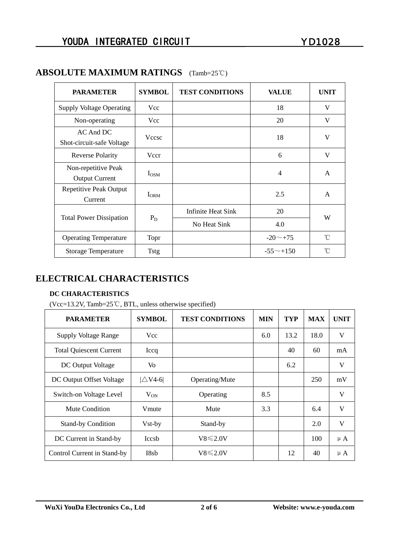| <b>PARAMETER</b>                             | <b>SYMBOL</b>  | <b>TEST CONDITIONS</b> | <b>VALUE</b>     | <b>UNIT</b> |  |
|----------------------------------------------|----------------|------------------------|------------------|-------------|--|
| <b>Supply Voltage Operating</b>              | Vcc            |                        | 18               | V           |  |
| Non-operating                                | Vcc            |                        | 20               | V           |  |
| AC And DC<br>Shot-circuit-safe Voltage       | <b>Vccsc</b>   |                        | 18               | V           |  |
| <b>Reverse Polarity</b>                      | Vccr           |                        | 6                | V           |  |
| Non-repetitive Peak<br><b>Output Current</b> | $I_{OSM}$      |                        | $\overline{4}$   | A           |  |
| Repetitive Peak Output<br>Current            | $I_{\rm{ORM}}$ |                        | 2.5              | A           |  |
| <b>Total Power Dissipation</b>               | $P_D$          | Infinite Heat Sink     | 20               | W           |  |
|                                              |                | No Heat Sink           | 4.0              |             |  |
| <b>Operating Temperature</b>                 | Topr           |                        | $-20$ $-$ +75    | °C          |  |
| <b>Storage Temperature</b>                   | <b>Tstg</b>    |                        | $-55^{\sim}+150$ | °C          |  |

## **ABSOLUTE MAXIMUM RATINGS** (Tamb=25℃)

## **ELECTRICAL CHARACTERISTICS**

#### **DC CHARACTERISTICS**

(Vcc=13.2V, Tamb=25℃, BTL, unless otherwise specified)

| <b>PARAMETER</b>               | <b>SYMBOL</b>      | <b>TEST CONDITIONS</b> | <b>MIN</b> | <b>TYP</b> | <b>MAX</b> | <b>UNIT</b> |
|--------------------------------|--------------------|------------------------|------------|------------|------------|-------------|
| <b>Supply Voltage Range</b>    | Vcc                |                        | 6.0        | 13.2       | 18.0       | V           |
| <b>Total Quiescent Current</b> | Iccq               |                        |            | 40         | 60         | mA          |
| DC Output Voltage              | Vo                 |                        |            | 6.2        |            | V           |
| DC Output Offset Voltage       | $ \triangle V4-6 $ | Operating/Mute         |            |            | 250        | mV          |
| Switch-on Voltage Level        | $V_{ON}$           | Operating              | 8.5        |            |            | V           |
| Mute Condition                 | Vmute              | Mute                   | 3.3        |            | 6.4        | V           |
| <b>Stand-by Condition</b>      | Vst-by             | Stand-by               |            |            | 2.0        | V           |
| DC Current in Stand-by         | <b>Iccsb</b>       | $V8 \le 2.0V$          |            |            | 100        | $\mu A$     |
| Control Current in Stand-by    | I8sb               | $V8 \le 2.0V$          |            | 12         | 40         | $\mu A$     |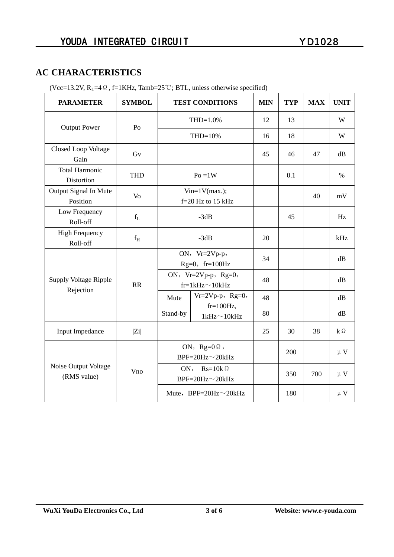## **AC CHARACTERISTICS**

|                                           |               | $(20-13.2)$ , $N_L$ –4 $\approx$ , 1–1 KHz, 1 amo –2.9 $\sim$ , D TL, unics otherwise spectrical |                                   |            |            |            |             |
|-------------------------------------------|---------------|--------------------------------------------------------------------------------------------------|-----------------------------------|------------|------------|------------|-------------|
| <b>PARAMETER</b>                          | <b>SYMBOL</b> |                                                                                                  | <b>TEST CONDITIONS</b>            | <b>MIN</b> | <b>TYP</b> | <b>MAX</b> | <b>UNIT</b> |
| <b>Output Power</b>                       | Po            | $THD=1.0%$                                                                                       |                                   | 12         | 13         |            | W           |
|                                           |               | THD=10%                                                                                          |                                   | 16         | 18         |            | W           |
| Closed Loop Voltage<br>Gain               | Gv            |                                                                                                  | 45                                | 46         | 47         | dB         |             |
| <b>Total Harmonic</b><br>Distortion       | <b>THD</b>    | $Po = 1W$                                                                                        |                                   |            | 0.1        |            | $\%$        |
| Output Signal In Mute<br>Position         | Vo            | $Vin=1V(max.);$<br>$f=20$ Hz to 15 kHz                                                           |                                   |            |            | 40         | mV          |
| Low Frequency<br>Roll-off                 | $f_L$         | $-3dB$                                                                                           |                                   |            | 45         |            | Hz          |
| <b>High Frequency</b><br>Roll-off         | $f_H$         | $-3dB$                                                                                           |                                   | 20         |            |            | kHz         |
| <b>Supply Voltage Ripple</b><br>Rejection | RR            | ON, Vr=2Vp-p,<br>$Rg=0$ , fr=100Hz                                                               |                                   | 34         |            |            | dB          |
|                                           |               | ON, $Vr=2Vp-p$ , $Rg=0$ ,<br>$fr=1kHz \sim 10kHz$                                                |                                   | 48         |            |            | dB          |
|                                           |               | Mute                                                                                             | $Vr=2Vp-p$ , Rg=0,                | 48         |            |            | dB          |
|                                           |               | Stand-by                                                                                         | $fr=100Hz$ ,<br>$1kHz \sim 10kHz$ | 80         |            |            | dB          |
| Input Impedance                           | $ Z_i $       |                                                                                                  |                                   | 25         | 30         | 38         | $k\Omega$   |
| Noise Output Voltage<br>(RMS value)       | Vno           | ON, $Rg=0 \Omega$ ,<br>$BPF=20Hz \sim 20kHz$                                                     |                                   |            | 200        |            | $\mu$ V     |
|                                           |               | $Rs=10k\Omega$<br>ON,<br>$BPF=20Hz \sim 20kHz$                                                   |                                   |            | 350        | 700        | $\mu$ V     |
|                                           |               |                                                                                                  | Mute, BPF=20Hz~20kHz              |            | 180        |            | $\upmu$ V   |

(Vcc=13.2V,  $R_1$ =4 $\Omega$ , f=1KHz, Tamb=25°C; BTL, unless otherwise specified)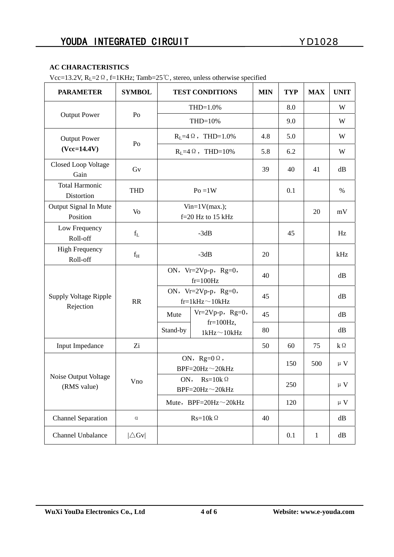#### **AC CHARACTERISTICS**

Vcc=13.2V, RL=2Ω, f=1KHz; Tamb=25℃, stereo, unless otherwise specified

| <b>PARAMETER</b>                     | <b>SYMBOL</b>   | <b>TEST CONDITIONS</b>                            |                                   | <b>MIN</b> | <b>TYP</b> | <b>MAX</b>   | <b>UNIT</b> |
|--------------------------------------|-----------------|---------------------------------------------------|-----------------------------------|------------|------------|--------------|-------------|
| <b>Output Power</b>                  | Po              | $THD=1.0%$                                        |                                   |            | 8.0        |              | W           |
|                                      |                 | THD=10%                                           |                                   |            | 9.0        |              | W           |
| <b>Output Power</b><br>$(Vcc=14.4V)$ | Po              | $R_L = 4 \Omega$ , THD=1.0%                       |                                   | 4.8        | 5.0        |              | W           |
|                                      |                 | $R_L = 4 \Omega$ , THD=10%                        |                                   | 5.8        | 6.2        |              | W           |
| Closed Loop Voltage<br>Gain          | Gv              |                                                   |                                   | 39         | 40         | 41           | dB          |
| <b>Total Harmonic</b><br>Distortion  | <b>THD</b>      | $Po = 1W$                                         |                                   |            | 0.1        |              | $\%$        |
| Output Signal In Mute<br>Position    | Vo              | $Vin=1V(max.)$ ;<br>$f=20$ Hz to 15 kHz           |                                   |            |            | 20           | mV          |
| Low Frequency<br>Roll-off            | $f_L$           | $-3dB$                                            |                                   |            | 45         |              | Hz          |
| <b>High Frequency</b><br>Roll-off    | $\rm f_{H}$     | $-3dB$                                            |                                   | 20         |            |              | kHz         |
| <b>Supply Voltage Ripple</b>         | RR              | ON, $Vr=2Vp-p$ , $Rg=0$ ,<br>$fr=100Hz$           |                                   | 40         |            |              | dB          |
|                                      |                 | ON, $Vr=2Vp-p$ , $Rg=0$ ,<br>$fr=1kHz \sim 10kHz$ |                                   | 45         |            |              | dB          |
| Rejection                            |                 | Mute                                              | $Vr=2Vp-p$ , Rg=0,                | 45         |            |              | dB          |
|                                      |                 | Stand-by                                          | $fr=100Hz$ ,<br>$1kHz \sim 10kHz$ | 80         |            |              | dB          |
| Input Impedance                      | Zi              |                                                   |                                   | 50         | 60         | 75           | $k\Omega$   |
| Noise Output Voltage<br>(RMS value)  | Vno             | ON, $Rg=0 \Omega$ ,<br>$BPF=20Hz \sim 20kHz$      |                                   |            | 150        | 500          | $\upmu$ V   |
|                                      |                 | ON, $Rs=10k\Omega$<br>$BPF=20Hz \sim 20kHz$       |                                   |            | 250        |              | $\upmu$ V   |
|                                      |                 | Mute, BPF=20Hz $\sim$ 20kHz                       |                                   |            | 120        |              | $\upmu$ V   |
| <b>Channel Separation</b>            | $\alpha$        | $Rs=10k\Omega$                                    |                                   | 40         |            |              | dB          |
| Channel Unbalance                    | $ \triangle$ Gv |                                                   |                                   |            | 0.1        | $\mathbf{1}$ | dB          |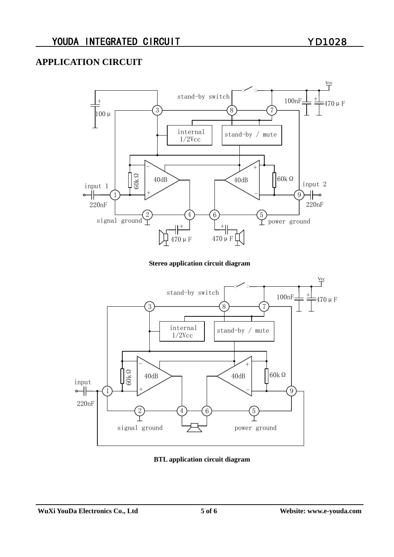## **APPLICATION CIRCUIT**



#### **Stereo application circuit diagram**



#### **BTL application circuit diagram**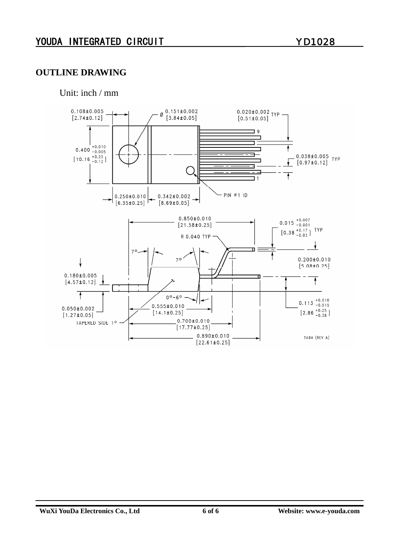### **OUTLINE DRAWING**

Unit: inch / mm